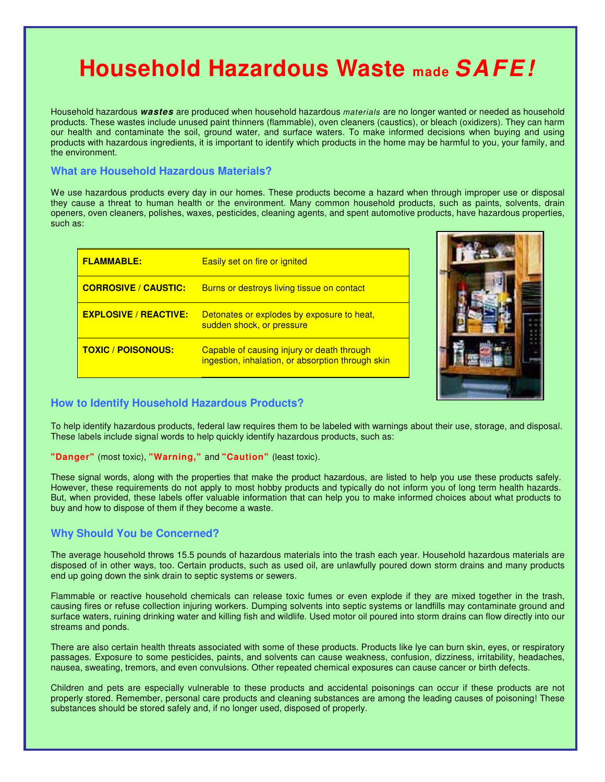# **Household Hazardous Waste made SAFE!**

Household hazardous **wastes** are produced when household hazardous materials are no longer wanted or needed as household products. These wastes include unused paint thinners (flammable), oven cleaners (caustics), or bleach (oxidizers). They can harm our health and contaminate the soil, ground water, and surface waters. To make informed decisions when buying and using products with hazardous ingredients, it is important to identify which products in the home may be harmful to you, your family, and the environment.

# **What are Household Hazardous Materials?**

We use hazardous products every day in our homes. These products become a hazard when through improper use or disposal they cause a threat to human health or the environment. Many common household products, such as paints, solvents, drain openers, oven cleaners, polishes, waxes, pesticides, cleaning agents, and spent automotive products, have hazardous properties, such as:

| <b>FLAMMABLE:</b>            | <b>Easily set on fire or ignited</b>                                                            |
|------------------------------|-------------------------------------------------------------------------------------------------|
| <b>CORROSIVE / CAUSTIC:</b>  | <b>Burns or destroys living tissue on contact</b>                                               |
| <b>EXPLOSIVE / REACTIVE:</b> | Detonates or explodes by exposure to heat,<br>sudden shock, or pressure                         |
| <b>TOXIC / POISONOUS:</b>    | Capable of causing injury or death through<br>ingestion, inhalation, or absorption through skin |



## **How to Identify Household Hazardous Products?**

To help identify hazardous products, federal law requires them to be labeled with warnings about their use, storage, and disposal. These labels include signal words to help quickly identify hazardous products, such as:

#### **"Danger"** (most toxic), **"Warning,"** and **"Caution"** (least toxic).

These signal words, along with the properties that make the product hazardous, are listed to help you use these products safely. However, these requirements do not apply to most hobby products and typically do not inform you of long term health hazards. But, when provided, these labels offer valuable information that can help you to make informed choices about what products to buy and how to dispose of them if they become a waste.

# **Why Should You be Concerned?**

The average household throws 15.5 pounds of hazardous materials into the trash each year. Household hazardous materials are disposed of in other ways, too. Certain products, such as used oil, are unlawfully poured down storm drains and many products end up going down the sink drain to septic systems or sewers.

Flammable or reactive household chemicals can release toxic fumes or even explode if they are mixed together in the trash, causing fires or refuse collection injuring workers. Dumping solvents into septic systems or landfills may contaminate ground and surface waters, ruining drinking water and killing fish and wildlife. Used motor oil poured into storm drains can flow directly into our streams and ponds.

There are also certain health threats associated with some of these products. Products like lye can burn skin, eyes, or respiratory passages. Exposure to some pesticides, paints, and solvents can cause weakness, confusion, dizziness, irritability, headaches, nausea, sweating, tremors, and even convulsions. Other repeated chemical exposures can cause cancer or birth defects.

Children and pets are especially vulnerable to these products and accidental poisonings can occur if these products are not properly stored. Remember, personal care products and cleaning substances are among the leading causes of poisoning! These substances should be stored safely and, if no longer used, disposed of properly.